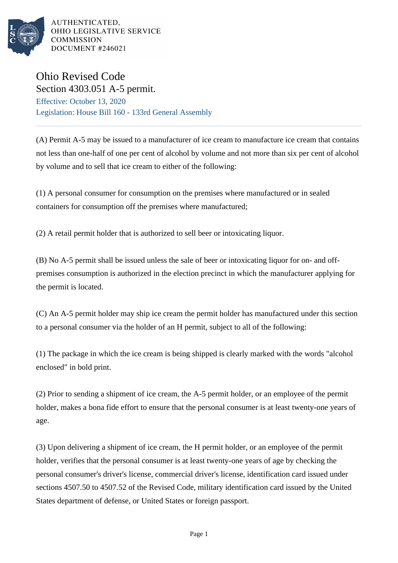

AUTHENTICATED. OHIO LEGISLATIVE SERVICE **COMMISSION DOCUMENT #246021** 

## Ohio Revised Code Section 4303.051 A-5 permit.

Effective: October 13, 2020 Legislation: House Bill 160 - 133rd General Assembly

(A) Permit A-5 may be issued to a manufacturer of ice cream to manufacture ice cream that contains not less than one-half of one per cent of alcohol by volume and not more than six per cent of alcohol by volume and to sell that ice cream to either of the following:

(1) A personal consumer for consumption on the premises where manufactured or in sealed containers for consumption off the premises where manufactured;

(2) A retail permit holder that is authorized to sell beer or intoxicating liquor.

(B) No A-5 permit shall be issued unless the sale of beer or intoxicating liquor for on- and offpremises consumption is authorized in the election precinct in which the manufacturer applying for the permit is located.

(C) An A-5 permit holder may ship ice cream the permit holder has manufactured under this section to a personal consumer via the holder of an H permit, subject to all of the following:

(1) The package in which the ice cream is being shipped is clearly marked with the words "alcohol enclosed" in bold print.

(2) Prior to sending a shipment of ice cream, the A-5 permit holder, or an employee of the permit holder, makes a bona fide effort to ensure that the personal consumer is at least twenty-one years of age.

(3) Upon delivering a shipment of ice cream, the H permit holder, or an employee of the permit holder, verifies that the personal consumer is at least twenty-one years of age by checking the personal consumer's driver's license, commercial driver's license, identification card issued under sections 4507.50 to 4507.52 of the Revised Code, military identification card issued by the United States department of defense, or United States or foreign passport.